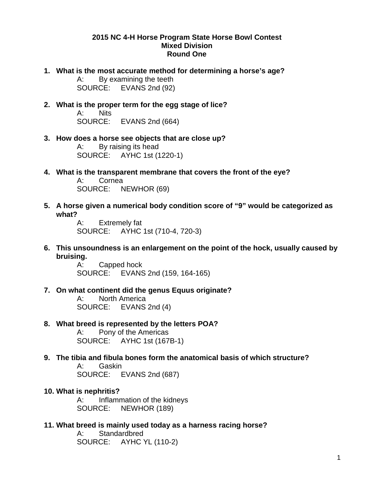#### **2015 NC 4-H Horse Program State Horse Bowl Contest Mixed Division Round One**

- **1. What is the most accurate method for determining a horse's age?** A: By examining the teeth SOURCE: EVANS 2nd (92)
- **2. What is the proper term for the egg stage of lice?** A: Nits SOURCE: EVANS 2nd (664)
- **3. How does a horse see objects that are close up?** A: By raising its head SOURCE: AYHC 1st (1220-1)
- **4. What is the transparent membrane that covers the front of the eye?** A: Cornea SOURCE: NEWHOR (69)
- **5. A horse given a numerical body condition score of "9" would be categorized as what?**

A: Extremely fat SOURCE: AYHC 1st (710-4, 720-3)

**6. This unsoundness is an enlargement on the point of the hock, usually caused by bruising.**

> A: Capped hock SOURCE: EVANS 2nd (159, 164-165)

**7. On what continent did the genus Equus originate?**

A: North America SOURCE: EVANS 2nd (4)

**8. What breed is represented by the letters POA?** A: Pony of the Americas

SOURCE: AYHC 1st (167B-1)

- **9. The tibia and fibula bones form the anatomical basis of which structure?** A: Gaskin SOURCE: EVANS 2nd (687)
- **10. What is nephritis?** A: Inflammation of the kidneys SOURCE: NEWHOR (189)
- **11. What breed is mainly used today as a harness racing horse?** A: Standardbred SOURCE: AYHC YL (110-2)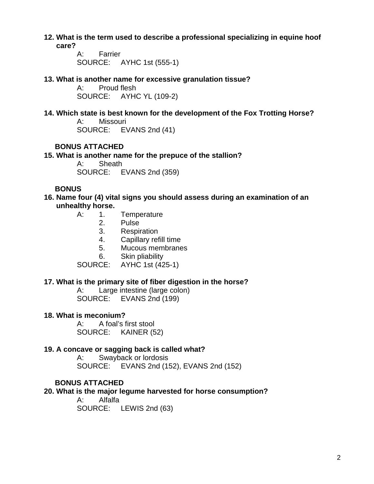**12. What is the term used to describe a professional specializing in equine hoof care?**

> A: Farrier SOURCE: AYHC 1st (555-1)

## **13. What is another name for excessive granulation tissue?**

Proud flesh SOURCE: AYHC YL (109-2)

## **14. Which state is best known for the development of the Fox Trotting Horse?**

A: Missouri SOURCE: EVANS 2nd (41)

## **BONUS ATTACHED**

## **15. What is another name for the prepuce of the stallion?**

A: Sheath SOURCE: EVANS 2nd (359)

## **BONUS**

## **16. Name four (4) vital signs you should assess during an examination of an unhealthy horse.**

- A: 1. Temperature<br>2. Pulse
	- 2. Pulse
	- 3. Respiration
	- 4. Capillary refill time
	- 5. Mucous membranes
	- 6. Skin pliability

SOURCE: AYHC 1st (425-1)

## **17. What is the primary site of fiber digestion in the horse?**

A: Large intestine (large colon) SOURCE: EVANS 2nd (199)

## **18. What is meconium?**

A: A foal's first stool SOURCE: KAINER (52)

## **19. A concave or sagging back is called what?**

A: Swayback or lordosis SOURCE: EVANS 2nd (152), EVANS 2nd (152)

## **BONUS ATTACHED**

**20. What is the major legume harvested for horse consumption?**

A: Alfalfa

SOURCE: LEWIS 2nd (63)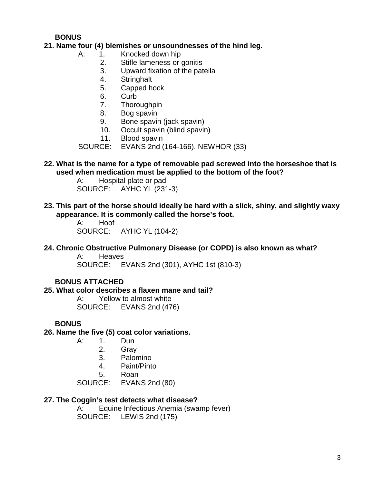**BONUS**

## **21. Name four (4) blemishes or unsoundnesses of the hind leg.**

- A: 1. Knocked down hip
	- 2. Stifle lameness or gonitis<br>3. Upward fixation of the pat
	- Upward fixation of the patella
	- 4. Stringhalt
	- 5. Capped hock
	- 6. Curb
	- 7. Thoroughpin
	- 8. Bog spavin
	- 9. Bone spavin (jack spavin)
	- 10. Occult spavin (blind spavin)<br>11. Blood spavin
	- Blood spavin

SOURCE: EVANS 2nd (164-166), NEWHOR (33)

**22. What is the name for a type of removable pad screwed into the horseshoe that is used when medication must be applied to the bottom of the foot?**

> A: Hospital plate or pad SOURCE: AYHC YL (231-3)

**23. This part of the horse should ideally be hard with a slick, shiny, and slightly waxy appearance. It is commonly called the horse's foot.**

> A: Hoof SOURCE: AYHC YL (104-2)

#### **24. Chronic Obstructive Pulmonary Disease (or COPD) is also known as what?**

A: Heaves SOURCE: EVANS 2nd (301), AYHC 1st (810-3)

## **BONUS ATTACHED**

## **25. What color describes a flaxen mane and tail?**

A: Yellow to almost white SOURCE: EVANS 2nd (476)

## **BONUS**

**26. Name the five (5) coat color variations.**

- A: 1. Dun
	- 2. Gray
	- 3. Palomino
	- 4. Paint/Pinto
	- 5. Roan
- SOURCE: EVANS 2nd (80)

## **27. The Coggin's test detects what disease?**

A: Equine Infectious Anemia (swamp fever) SOURCE: LEWIS 2nd (175)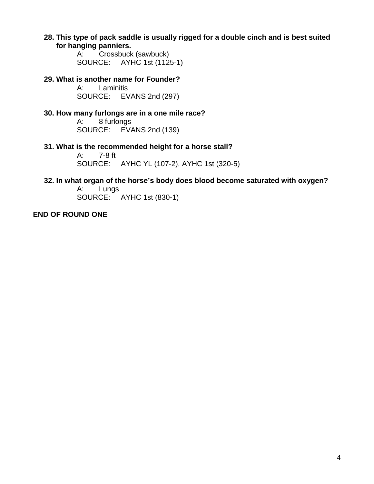**28. This type of pack saddle is usually rigged for a double cinch and is best suited for hanging panniers.**

> A: Crossbuck (sawbuck) SOURCE: AYHC 1st (1125-1)

- **29. What is another name for Founder?** Laminitis SOURCE: EVANS 2nd (297)
- **30. How many furlongs are in a one mile race?** A: 8 furlongs SOURCE: EVANS 2nd (139)
- **31. What is the recommended height for a horse stall?** A: 7-8 ft SOURCE: AYHC YL (107-2), AYHC 1st (320-5)
- **32. In what organ of the horse's body does blood become saturated with oxygen?**

A: Lungs SOURCE: AYHC 1st (830-1)

## **END OF ROUND ONE**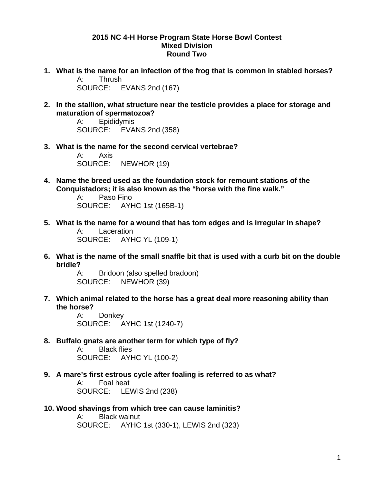#### **2015 NC 4-H Horse Program State Horse Bowl Contest Mixed Division Round Two**

- **1. What is the name for an infection of the frog that is common in stabled horses?** A: Thrush SOURCE: EVANS 2nd (167)
- **2. In the stallion, what structure near the testicle provides a place for storage and maturation of spermatozoa?**

A: Epididymis SOURCE: EVANS 2nd (358)

**3. What is the name for the second cervical vertebrae?** A: Axis

SOURCE: NEWHOR (19)

**4. Name the breed used as the foundation stock for remount stations of the Conquistadors; it is also known as the "horse with the fine walk."**

A: Paso Fino SOURCE: AYHC 1st (165B-1)

- **5. What is the name for a wound that has torn edges and is irregular in shape?** A: Laceration SOURCE: AYHC YL (109-1)
- **6. What is the name of the small snaffle bit that is used with a curb bit on the double bridle?**

A: Bridoon (also spelled bradoon) SOURCE: NEWHOR (39)

**7. Which animal related to the horse has a great deal more reasoning ability than the horse?**

A: Donkey SOURCE: AYHC 1st (1240-7)

**8. Buffalo gnats are another term for which type of fly?** 

A: Black flies SOURCE: AYHC YL (100-2)

**9. A mare's first estrous cycle after foaling is referred to as what?**

A: Foal heat SOURCE: LEWIS 2nd (238)

## **10. Wood shavings from which tree can cause laminitis?**

A: Black walnut SOURCE: AYHC 1st (330-1), LEWIS 2nd (323)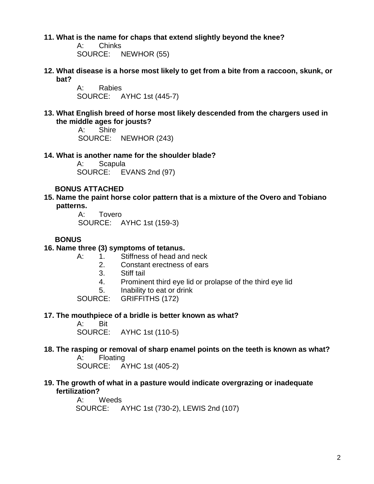**11. What is the name for chaps that extend slightly beyond the knee?**

A: Chinks SOURCE: NEWHOR (55)

**12. What disease is a horse most likely to get from a bite from a raccoon, skunk, or bat?**

> A: Rabies SOURCE: AYHC 1st (445-7)

**13. What English breed of horse most likely descended from the chargers used in the middle ages for jousts?** 

```
A: Shire
SOURCE: NEWHOR (243)
```
#### **14. What is another name for the shoulder blade?**

A: Scapula SOURCE: EVANS 2nd (97)

## **BONUS ATTACHED**

**15. Name the paint horse color pattern that is a mixture of the Overo and Tobiano patterns.** 

> A: Tovero SOURCE: AYHC 1st (159-3)

## **BONUS**

## **16. Name three (3) symptoms of tetanus.**

- A: 1. Stiffness of head and neck
	- 2. Constant erectness of ears
	- 3. Stiff tail
	- 4. Prominent third eye lid or prolapse of the third eye lid
	- 5. Inability to eat or drink

SOURCE: GRIFFITHS (172)

#### **17. The mouthpiece of a bridle is better known as what?**

A: Bit SOURCE: AYHC 1st (110-5)

## **18. The rasping or removal of sharp enamel points on the teeth is known as what?**

A: Floating SOURCE: AYHC 1st (405-2)

## **19. The growth of what in a pasture would indicate overgrazing or inadequate fertilization?**

A: Weeds SOURCE: AYHC 1st (730-2), LEWIS 2nd (107)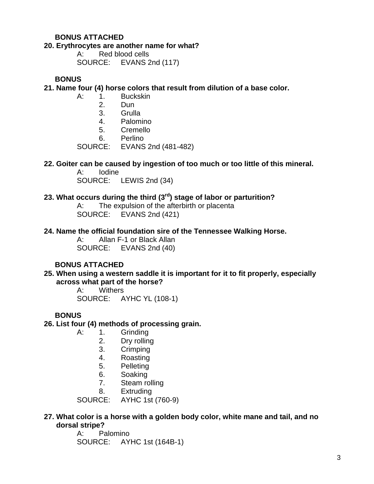### **BONUS ATTACHED**

#### **20. Erythrocytes are another name for what?**

A: Red blood cells SOURCE: EVANS 2nd (117)

**BONUS**

**21. Name four (4) horse colors that result from dilution of a base color.**

- A: 1. Buckskin
	- 2. Dun
	- 3. Grulla
	- 4. Palomino
	- 5. Cremello
	- 6. Perlino

SOURCE: EVANS 2nd (481-482)

## **22. Goiter can be caused by ingestion of too much or too little of this mineral.**

**Iodine** SOURCE: LEWIS 2nd (34)

## **23. What occurs during the third (3rd) stage of labor or parturition?**

A: The expulsion of the afterbirth or placenta SOURCE: EVANS 2nd (421)

#### **24. Name the official foundation sire of the Tennessee Walking Horse.**

A: Allan F-1 or Black Allan SOURCE: EVANS 2nd (40)

## **BONUS ATTACHED**

**25. When using a western saddle it is important for it to fit properly, especially across what part of the horse?**

> A: Withers SOURCE: AYHC YL (108-1)

#### **BONUS**

- **26. List four (4) methods of processing grain.**
	- A: 1. Grinding
		- 2. Dry rolling
		- 3. Crimping
		- 4. Roasting
		- 5. Pelleting
		- 6. Soaking
		- 7. Steam rolling
		- 8. Extruding

SOURCE: AYHC 1st (760-9)

#### **27. What color is a horse with a golden body color, white mane and tail, and no dorsal stripe?**

A: Palomino SOURCE: AYHC 1st (164B-1)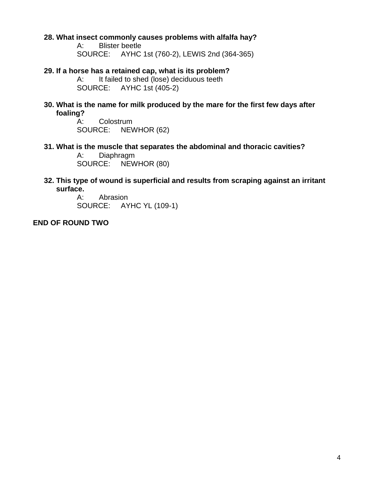## **28. What insect commonly causes problems with alfalfa hay?**

A: Blister beetle SOURCE: AYHC 1st (760-2), LEWIS 2nd (364-365)

**29. If a horse has a retained cap, what is its problem?** A: It failed to shed (lose) deciduous teeth<br>SOURCE: AYHC 1st (405-2) AYHC 1st (405-2)

**30. What is the name for milk produced by the mare for the first few days after foaling?**

> A: Colostrum SOURCE: NEWHOR (62)

**31. What is the muscle that separates the abdominal and thoracic cavities?**

A: Diaphragm SOURCE: NEWHOR (80)

**32. This type of wound is superficial and results from scraping against an irritant surface.**

A: Abrasion SOURCE: AYHC YL (109-1)

**END OF ROUND TWO**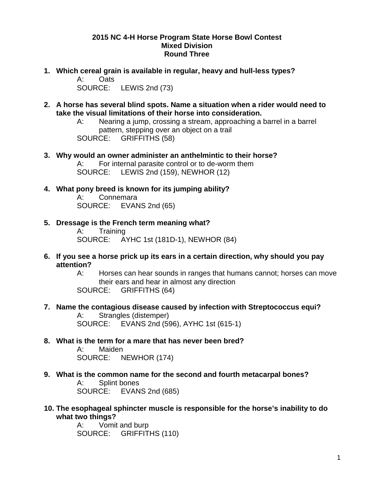## **2015 NC 4-H Horse Program State Horse Bowl Contest Mixed Division Round Three**

**1. Which cereal grain is available in regular, heavy and hull-less types?**

A: Oats SOURCE: LEWIS 2nd (73)

**2. A horse has several blind spots. Name a situation when a rider would need to take the visual limitations of their horse into consideration.**

A: Nearing a jump, crossing a stream, approaching a barrel in a barrel pattern, stepping over an object on a trail SOURCE: GRIFFITHS (58)

- **3. Why would an owner administer an anthelmintic to their horse?** A: For internal parasite control or to de-worm them SOURCE: LEWIS 2nd (159), NEWHOR (12)
- **4. What pony breed is known for its jumping ability?**

Connemara SOURCE: EVANS 2nd (65)

- **5. Dressage is the French term meaning what?** A: Training SOURCE: AYHC 1st (181D-1), NEWHOR (84)
- **6. If you see a horse prick up its ears in a certain direction, why should you pay attention?**
	- A: Horses can hear sounds in ranges that humans cannot; horses can move their ears and hear in almost any direction SOURCE: GRIFFITHS (64)
- **7. Name the contagious disease caused by infection with Streptococcus equi?** A: Strangles (distemper) SOURCE: EVANS 2nd (596), AYHC 1st (615-1)
- **8. What is the term for a mare that has never been bred?**

A: Maiden SOURCE: NEWHOR (174)

- **9. What is the common name for the second and fourth metacarpal bones?** A: Splint bones SOURCE: EVANS 2nd (685)
- **10. The esophageal sphincter muscle is responsible for the horse's inability to do what two things?**

A: Vomit and burp SOURCE: GRIFFITHS (110)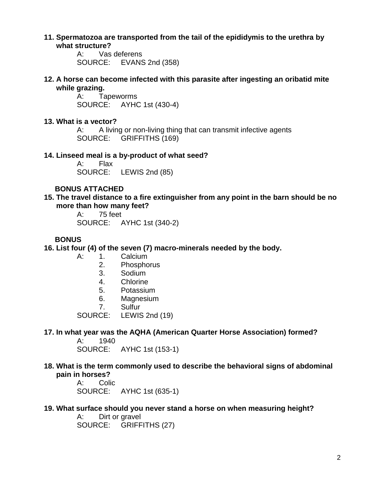#### **11. Spermatozoa are transported from the tail of the epididymis to the urethra by what structure?**

A: Vas deferens SOURCE: EVANS 2nd (358)

**12. A horse can become infected with this parasite after ingesting an oribatid mite while grazing.**

> A: Tapeworms SOURCE: AYHC 1st (430-4)

## **13. What is a vector?**

A: A living or non-living thing that can transmit infective agents SOURCE: GRIFFITHS (169)

## **14. Linseed meal is a by-product of what seed?**

A: Flax SOURCE: LEWIS 2nd (85)

## **BONUS ATTACHED**

**15. The travel distance to a fire extinguisher from any point in the barn should be no more than how many feet?**

A: 75 feet SOURCE: AYHC 1st (340-2)

## **BONUS**

**16. List four (4) of the seven (7) macro-minerals needed by the body.** 

- A: 1. Calcium
	- 2. Phosphorus
	- 3. Sodium
	- 4. Chlorine
	- 5. Potassium
	- 6. Magnesium
	- 7. Sulfur

SOURCE: LEWIS 2nd (19)

## **17. In what year was the AQHA (American Quarter Horse Association) formed?**

A: 1940 SOURCE: AYHC 1st (153-1)

**18. What is the term commonly used to describe the behavioral signs of abdominal pain in horses?**<br>A: Colie

Colic SOURCE: AYHC 1st (635-1)

## **19. What surface should you never stand a horse on when measuring height?**

A: Dirt or gravel SOURCE: GRIFFITHS (27)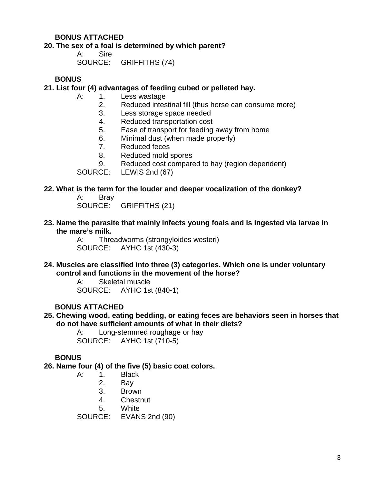## **BONUS ATTACHED**

#### **20. The sex of a foal is determined by which parent?**

A: Sire SOURCE: GRIFFITHS (74)

**BONUS**

#### **21. List four (4) advantages of feeding cubed or pelleted hay.**

- A: 1. Less wastage
	- 2. Reduced intestinal fill (thus horse can consume more)
	- 3. Less storage space needed
	- 4. Reduced transportation cost
	- 5. Ease of transport for feeding away from home
	- 6. Minimal dust (when made properly)
	- 7. Reduced feces
	- 8. Reduced mold spores
	- 9. Reduced cost compared to hay (region dependent)

SOURCE: LEWIS 2nd (67)

#### **22. What is the term for the louder and deeper vocalization of the donkey?**

- A: Bray SOURCE: GRIFFITHS (21)
- **23. Name the parasite that mainly infects young foals and is ingested via larvae in the mare's milk.**

A: Threadworms (strongyloides westeri) SOURCE: AYHC 1st (430-3)

**24. Muscles are classified into three (3) categories. Which one is under voluntary control and functions in the movement of the horse?**

> A: Skeletal muscle SOURCE: AYHC 1st (840-1)

## **BONUS ATTACHED**

#### **25. Chewing wood, eating bedding, or eating feces are behaviors seen in horses that do not have sufficient amounts of what in their diets?**

A: Long-stemmed roughage or hay SOURCE: AYHC 1st (710-5)

## **BONUS**

**26. Name four (4) of the five (5) basic coat colors.**

- A: 1. Black
	- 2. Bay
	- 3. Brown
	- 4. Chestnut
	-

5. White<br>SOURCE: EVAN  $EVANS$  2nd (90)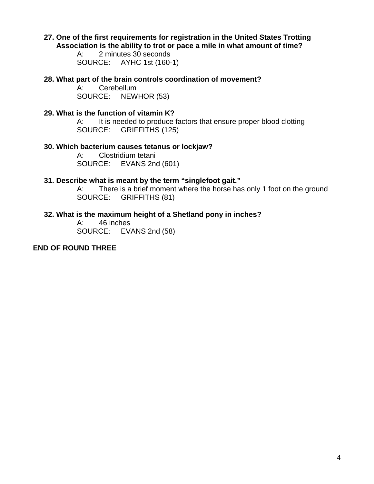## **27. One of the first requirements for registration in the United States Trotting Association is the ability to trot or pace a mile in what amount of time?**

A: 2 minutes 30 seconds SOURCE: AYHC 1st (160-1)

**28. What part of the brain controls coordination of movement?**

Cerebellum SOURCE: NEWHOR (53)

### **29. What is the function of vitamin K?**

A: It is needed to produce factors that ensure proper blood clotting SOURCE: GRIFFITHS (125)

#### **30. Which bacterium causes tetanus or lockjaw?**

A: Clostridium tetani SOURCE: EVANS 2nd (601)

#### **31. Describe what is meant by the term "singlefoot gait."**

A: There is a brief moment where the horse has only 1 foot on the ground SOURCE: GRIFFITHS (81)

## **32. What is the maximum height of a Shetland pony in inches?**

A: 46 inches SOURCE: EVANS 2nd (58)

## **END OF ROUND THREE**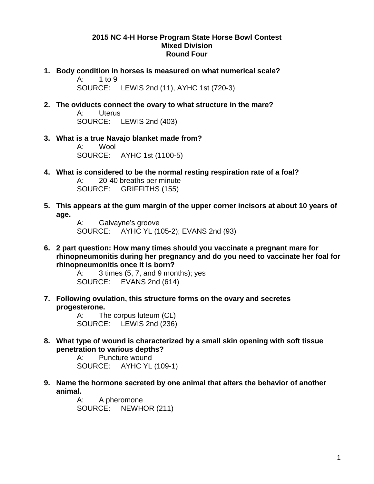## **2015 NC 4-H Horse Program State Horse Bowl Contest Mixed Division Round Four**

**1. Body condition in horses is measured on what numerical scale?**

A: 1 to 9 SOURCE: LEWIS 2nd (11), AYHC 1st (720-3)

- **2. The oviducts connect the ovary to what structure in the mare?** A: Uterus SOURCE: LEWIS 2nd (403)
- **3. What is a true Navajo blanket made from?** A: Wool SOURCE: AYHC 1st (1100-5)
- **4. What is considered to be the normal resting respiration rate of a foal?** A: 20-40 breaths per minute SOURCE: GRIFFITHS (155)
- **5. This appears at the gum margin of the upper corner incisors at about 10 years of age.**

A: Galvayne's groove SOURCE: AYHC YL (105-2); EVANS 2nd (93)

**6. 2 part question: How many times should you vaccinate a pregnant mare for rhinopneumonitis during her pregnancy and do you need to vaccinate her foal for rhinopneumonitis once it is born?**

> A:  $3 \times (5, 7, \text{ and } 9 \text{ months})$ ; yes SOURCE: EVANS 2nd (614)

**7. Following ovulation, this structure forms on the ovary and secretes progesterone.**

A: The corpus luteum (CL) SOURCE: LEWIS 2nd (236)

**8. What type of wound is characterized by a small skin opening with soft tissue penetration to various depths?**

A: Puncture wound SOURCE: AYHC YL (109-1)

**9. Name the hormone secreted by one animal that alters the behavior of another animal.**

A: A pheromone SOURCE: NEWHOR (211)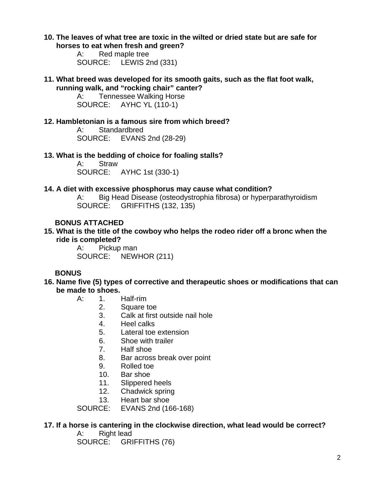**10. The leaves of what tree are toxic in the wilted or dried state but are safe for horses to eat when fresh and green?** 

> A: Red maple tree SOURCE: LEWIS 2nd (331)

**11. What breed was developed for its smooth gaits, such as the flat foot walk, running walk, and "rocking chair" canter?**

A: Tennessee Walking Horse SOURCE: AYHC YL (110-1)

## **12. Hambletonian is a famous sire from which breed?**

A: Standardbred SOURCE: EVANS 2nd (28-29)

## **13. What is the bedding of choice for foaling stalls?**

A: Straw SOURCE: AYHC 1st (330-1)

#### **14. A diet with excessive phosphorus may cause what condition?**

A: Big Head Disease (osteodystrophia fibrosa) or hyperparathyroidism SOURCE: GRIFFITHS (132, 135)

## **BONUS ATTACHED**

**15. What is the title of the cowboy who helps the rodeo rider off a bronc when the ride is completed?**

> A: Pickup man SOURCE: NEWHOR (211)

## **BONUS**

- **16. Name five (5) types of corrective and therapeutic shoes or modifications that can be made to shoes.**
	- A: 1. Half-rim
		- 2. Square toe
		- 3. Calk at first outside nail hole
		- 4. Heel calks
		- 5. Lateral toe extension
		- 6. Shoe with trailer
		- 7. Half shoe
		- 8. Bar across break over point
		- 9. Rolled toe
		- 10. Bar shoe
		- 11. Slippered heels
		- 12. Chadwick spring
		- 13. Heart bar shoe

SOURCE: EVANS 2nd (166-168)

## **17. If a horse is cantering in the clockwise direction, what lead would be correct?**

A: Right lead

SOURCE: GRIFFITHS (76)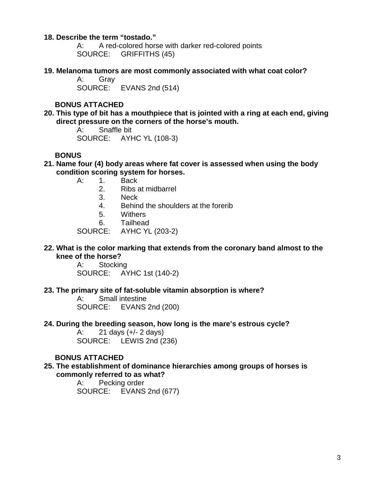#### **18. Describe the term "tostado."**

A: A red-colored horse with darker red-colored points SOURCE: GRIFFITHS (45)

**19. Melanoma tumors are most commonly associated with what coat color?**

A: Gray SOURCE: EVANS 2nd (514)

## **BONUS ATTACHED**

**20. This type of bit has a mouthpiece that is jointed with a ring at each end, giving direct pressure on the corners of the horse's mouth.**

> A: Snaffle bit SOURCE: AYHC YL (108-3)

## **BONUS**

- **21. Name four (4) body areas where fat cover is assessed when using the body condition scoring system for horses.**
	- A: 1. Back
		- 2. Ribs at midbarrel
		- 3. Neck
		- 4. Behind the shoulders at the forerib
		- 5. Withers
		- 6. Tailhead

SOURCE: AYHC YL (203-2)

#### **22. What is the color marking that extends from the coronary band almost to the knee of the horse?**

A: Stocking SOURCE: AYHC 1st (140-2)

#### **23. The primary site of fat-soluble vitamin absorption is where?**

A: Small intestine SOURCE: EVANS 2nd (200)

#### **24. During the breeding season, how long is the mare's estrous cycle?**

A: 21 days (+/- 2 days) SOURCE: LEWIS 2nd (236)

#### **BONUS ATTACHED**

#### **25. The establishment of dominance hierarchies among groups of horses is commonly referred to as what?**

A: Pecking order SOURCE: EVANS 2nd (677)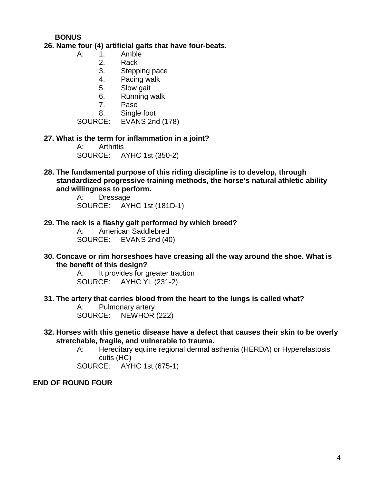## **BONUS**

#### **26. Name four (4) artificial gaits that have four-beats.**

- A: 1. Amble
	- 2. Rack
	- 3. Stepping pace
	- 4. Pacing walk
	- 5. Slow gait
	- 6. Running walk
	- 7. Paso
	- 8. Single foot

SOURCE: EVANS 2nd (178)

#### **27. What is the term for inflammation in a joint?**

A: Arthritis SOURCE: AYHC 1st (350-2)

**28. The fundamental purpose of this riding discipline is to develop, through standardized progressive training methods, the horse's natural athletic ability and willingness to perform.**

> A: Dressage SOURCE: AYHC 1st (181D-1)

**29. The rack is a flashy gait performed by which breed?**

A: American Saddlebred SOURCE: EVANS 2nd (40)

**30. Concave or rim horseshoes have creasing all the way around the shoe. What is the benefit of this design?**

> A: It provides for greater traction SOURCE: AYHC YL (231-2)

**31. The artery that carries blood from the heart to the lungs is called what?**

A: Pulmonary artery SOURCE: NEWHOR (222)

- **32. Horses with this genetic disease have a defect that causes their skin to be overly stretchable, fragile, and vulnerable to trauma.**
	- A: Hereditary equine regional dermal asthenia (HERDA) or Hyperelastosis cutis (HC)

SOURCE: AYHC 1st (675-1)

#### **END OF ROUND FOUR**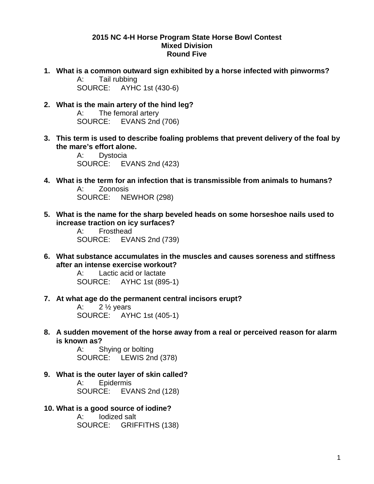#### **2015 NC 4-H Horse Program State Horse Bowl Contest Mixed Division Round Five**

- **1. What is a common outward sign exhibited by a horse infected with pinworms?** A: Tail rubbing SOURCE: AYHC 1st (430-6)
- **2. What is the main artery of the hind leg?** A: The femoral artery SOURCE: EVANS 2nd (706)
- **3. This term is used to describe foaling problems that prevent delivery of the foal by the mare's effort alone.**

A: Dystocia SOURCE: EVANS 2nd (423)

- **4. What is the term for an infection that is transmissible from animals to humans?** A: Zoonosis SOURCE: NEWHOR (298)
- **5. What is the name for the sharp beveled heads on some horseshoe nails used to increase traction on icy surfaces?**

A: Frosthead SOURCE: EVANS 2nd (739)

**6. What substance accumulates in the muscles and causes soreness and stiffness after an intense exercise workout?**

> A: Lactic acid or lactate SOURCE: AYHC 1st (895-1)

**7. At what age do the permanent central incisors erupt?**

A:  $2\frac{1}{2}$  years SOURCE: AYHC 1st (405-1)

**8. A sudden movement of the horse away from a real or perceived reason for alarm is known as?**

> A: Shying or bolting SOURCE: LEWIS 2nd (378)

- **9. What is the outer layer of skin called?** A: Epidermis SOURCE: EVANS 2nd (128)
- **10. What is a good source of iodine?**

A: Iodized salt SOURCE: GRIFFITHS (138)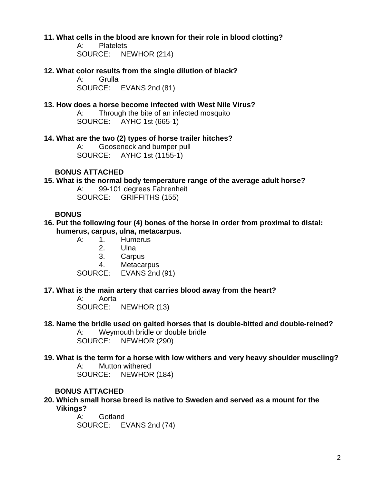#### **11. What cells in the blood are known for their role in blood clotting?**

A: Platelets SOURCE: NEWHOR (214)

## **12. What color results from the single dilution of black?**

A: Grulla SOURCE: EVANS 2nd (81)

## **13. How does a horse become infected with West Nile Virus?**

A: Through the bite of an infected mosquito SOURCE: AYHC 1st (665-1)

#### **14. What are the two (2) types of horse trailer hitches?**

A: Gooseneck and bumper pull SOURCE: AYHC 1st (1155-1)

## **BONUS ATTACHED**

#### **15. What is the normal body temperature range of the average adult horse?**

A: 99-101 degrees Fahrenheit SOURCE: GRIFFITHS (155)

#### **BONUS**

- **16. Put the following four (4) bones of the horse in order from proximal to distal: humerus, carpus, ulna, metacarpus.**
	- Humerus
		- 2. Ulna
		- 3. Carpus
		-

4. Metacarpus<br>SOURCE: EVANS 2nd EVANS 2nd (91)

#### **17. What is the main artery that carries blood away from the heart?**

A: Aorta SOURCE: NEWHOR (13)

#### **18. Name the bridle used on gaited horses that is double-bitted and double-reined?**

A: Weymouth bridle or double bridle SOURCE: NEWHOR (290)

#### **19. What is the term for a horse with low withers and very heavy shoulder muscling?** A: Mutton withered

SOURCE: NEWHOR (184)

#### **BONUS ATTACHED**

**20. Which small horse breed is native to Sweden and served as a mount for the Vikings?**

> A: Gotland SOURCE: EVANS 2nd (74)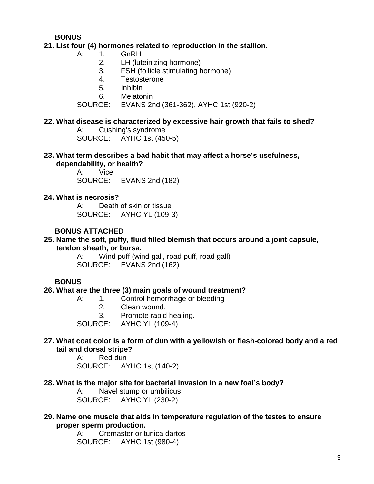## **BONUS**

## **21. List four (4) hormones related to reproduction in the stallion.**

- A: 1. GnRH
	- 2. LH (luteinizing hormone)
	- 3. FSH (follicle stimulating hormone)
	- 4. Testosterone
	- 5. Inhibin
	- 6. Melatonin

SOURCE: EVANS 2nd (361-362), AYHC 1st (920-2)

## **22. What disease is characterized by excessive hair growth that fails to shed?**

A: Cushing's syndrome SOURCE: AYHC 1st (450-5)

## **23. What term describes a bad habit that may affect a horse's usefulness, dependability, or health?**<br>A: Vice

**Vice** SOURCE: EVANS 2nd (182)

## **24. What is necrosis?**

A: Death of skin or tissue SOURCE: AYHC YL (109-3)

## **BONUS ATTACHED**

## **25. Name the soft, puffy, fluid filled blemish that occurs around a joint capsule, tendon sheath, or bursa.**

A: Wind puff (wind gall, road puff, road gall) SOURCE: EVANS 2nd (162)

## **BONUS**

## **26. What are the three (3) main goals of wound treatment?**

- A: 1. Control hemorrhage or bleeding
	- 2. Clean wound.
	- 3. Promote rapid healing.

SOURCE: AYHC YL (109-4)

## **27. What coat color is a form of dun with a yellowish or flesh-colored body and a red tail and dorsal stripe?**

A: Red dun SOURCE: AYHC 1st (140-2)

## **28. What is the major site for bacterial invasion in a new foal's body?**

A: Navel stump or umbilicus SOURCE: AYHC YL (230-2)

#### **29. Name one muscle that aids in temperature regulation of the testes to ensure proper sperm production.**

A: Cremaster or tunica dartos SOURCE: AYHC 1st (980-4)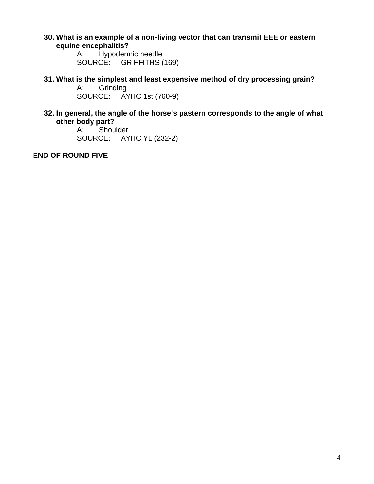**30. What is an example of a non-living vector that can transmit EEE or eastern equine encephalitis?**<br>A: Hypoderm

Hypodermic needle SOURCE: GRIFFITHS (169)

**31. What is the simplest and least expensive method of dry processing grain? Grinding** 

SOURCE: AYHC 1st (760-9)

**32. In general, the angle of the horse's pastern corresponds to the angle of what other body part?**<br>A: Shou

Shoulder SOURCE: AYHC YL (232-2)

**END OF ROUND FIVE**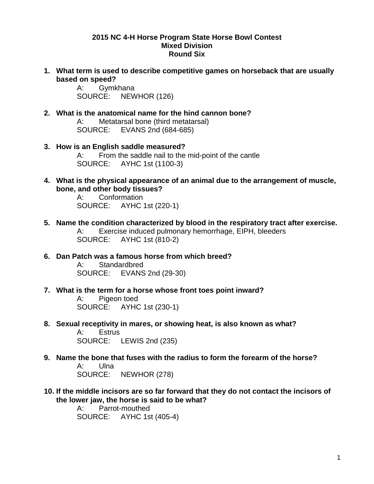#### **2015 NC 4-H Horse Program State Horse Bowl Contest Mixed Division Round Six**

**1. What term is used to describe competitive games on horseback that are usually based on speed?**<br>A: Gymk

**Gymkhana** SOURCE: NEWHOR (126)

- **2. What is the anatomical name for the hind cannon bone?** A: Metatarsal bone (third metatarsal) SOURCE: EVANS 2nd (684-685)
- **3. How is an English saddle measured?** A: From the saddle nail to the mid-point of the cantle SOURCE: AYHC 1st (1100-3)
- **4. What is the physical appearance of an animal due to the arrangement of muscle, bone, and other body tissues?**

A: Conformation SOURCE: AYHC 1st (220-1)

- **5. Name the condition characterized by blood in the respiratory tract after exercise.**  A: Exercise induced pulmonary hemorrhage, EIPH, bleeders SOURCE: AYHC 1st (810-2)
- **6. Dan Patch was a famous horse from which breed?** A: Standardbred SOURCE: EVANS 2nd (29-30)
- **7. What is the term for a horse whose front toes point inward?**  A: Pigeon toed SOURCE: AYHC 1st (230-1)
- **8. Sexual receptivity in mares, or showing heat, is also known as what?** A: Estrus SOURCE: LEWIS 2nd (235)
- **9. Name the bone that fuses with the radius to form the forearm of the horse?** A: Ulna SOURCE: NEWHOR (278)
- **10. If the middle incisors are so far forward that they do not contact the incisors of the lower jaw, the horse is said to be what?**

A: Parrot-mouthed SOURCE: AYHC 1st (405-4)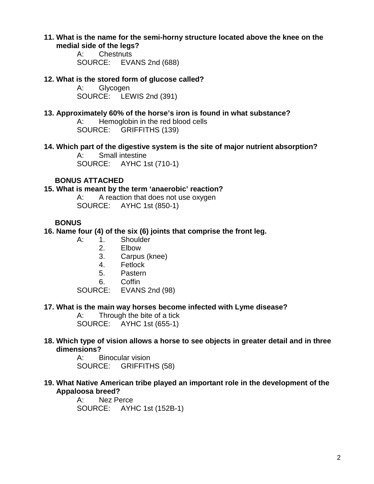#### **11. What is the name for the semi-horny structure located above the knee on the medial side of the legs?**

A: Chestnuts SOURCE: EVANS 2nd (688)

## **12. What is the stored form of glucose called?**

**Glycogen** SOURCE: LEWIS 2nd (391)

## **13. Approximately 60% of the horse's iron is found in what substance?**

A: Hemoglobin in the red blood cells SOURCE: GRIFFITHS (139)

## **14. Which part of the digestive system is the site of major nutrient absorption?**

A: Small intestine SOURCE: AYHC 1st (710-1)

## **BONUS ATTACHED**

#### **15. What is meant by the term 'anaerobic' reaction?**

A: A reaction that does not use oxygen SOURCE: AYHC 1st (850-1)

## **BONUS**

## **16. Name four (4) of the six (6) joints that comprise the front leg.**

- A: 1. Shoulder
	- 2. Elbow
	- 3. Carpus (knee)
	- 4. Fetlock
	- 5. Pastern
	- 6. Coffin

SOURCE: EVANS 2nd (98)

## **17. What is the main way horses become infected with Lyme disease?**

A: Through the bite of a tick SOURCE: AYHC 1st (655-1)

## **18. Which type of vision allows a horse to see objects in greater detail and in three dimensions?**

A: Binocular vision SOURCE: GRIFFITHS (58)

## **19. What Native American tribe played an important role in the development of the Appaloosa breed?**

A: Nez Perce SOURCE: AYHC 1st (152B-1)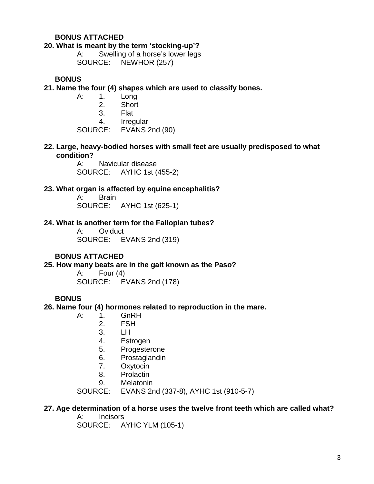### **BONUS ATTACHED**

#### **20. What is meant by the term 'stocking-up'?**

A: Swelling of a horse's lower legs SOURCE: NEWHOR (257)

#### **BONUS**

- **21. Name the four (4) shapes which are used to classify bones.**
	- A: 1. Long
		- 2. Short
		- 3. Flat
		- 4. Irregular

SOURCE: EVANS 2nd (90)

**22. Large, heavy-bodied horses with small feet are usually predisposed to what condition?**

> A: Navicular disease SOURCE: AYHC 1st (455-2)

#### **23. What organ is affected by equine encephalitis?**

A: Brain SOURCE: AYHC 1st (625-1)

#### **24. What is another term for the Fallopian tubes?**

A: Oviduct SOURCE: EVANS 2nd (319)

#### **BONUS ATTACHED**

**25. How many beats are in the gait known as the Paso?**

A: Four (4) SOURCE: EVANS 2nd (178)

#### **BONUS**

#### **26. Name four (4) hormones related to reproduction in the mare.**

- A: 1. GnRH
	- 2. FSH
	- 3. LH
	- 4. Estrogen
	- 5. Progesterone
	- 6. Prostaglandin
	- 7. Oxytocin
	- 8. Prolactin
	- 9. Melatonin

SOURCE: EVANS 2nd (337-8), AYHC 1st (910-5-7)

## **27. Age determination of a horse uses the twelve front teeth which are called what?**

A: Incisors SOURCE: AYHC YLM (105-1)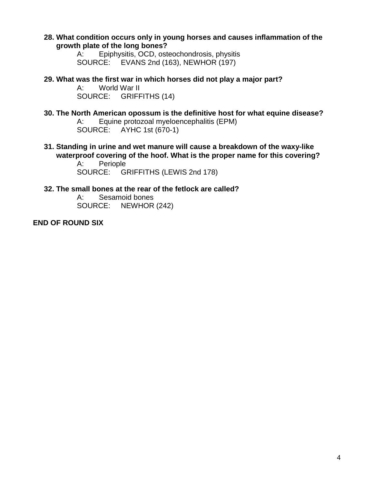**28. What condition occurs only in young horses and causes inflammation of the growth plate of the long bones?**

> A: Epiphysitis, OCD, osteochondrosis, physitis SOURCE: EVANS 2nd (163), NEWHOR (197)

**29. What was the first war in which horses did not play a major part?** World War II SOURCE: GRIFFITHS (14)

**30. The North American opossum is the definitive host for what equine disease?** A: Equine protozoal myeloencephalitis (EPM) SOURCE: AYHC 1st (670-1)

**31. Standing in urine and wet manure will cause a breakdown of the waxy-like waterproof covering of the hoof. What is the proper name for this covering?**

A: Periople SOURCE: GRIFFITHS (LEWIS 2nd 178)

- **32. The small bones at the rear of the fetlock are called?**
	- A: Sesamoid bones SOURCE: NEWHOR (242)

**END OF ROUND SIX**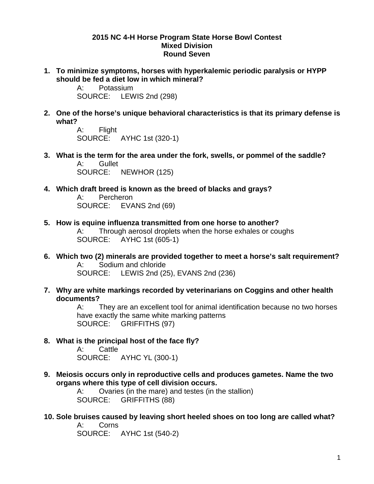#### **2015 NC 4-H Horse Program State Horse Bowl Contest Mixed Division Round Seven**

**1. To minimize symptoms, horses with hyperkalemic periodic paralysis or HYPP should be fed a diet low in which mineral?**<br>A: Potassium

Potassium SOURCE: LEWIS 2nd (298)

**2. One of the horse's unique behavioral characteristics is that its primary defense is what?**

A: Flight SOURCE: AYHC 1st (320-1)

- **3. What is the term for the area under the fork, swells, or pommel of the saddle?** A: Gullet SOURCE: NEWHOR (125)
- **4. Which draft breed is known as the breed of blacks and grays?**

A: Percheron SOURCE: EVANS 2nd (69)

- **5. How is equine influenza transmitted from one horse to another?** A: Through aerosol droplets when the horse exhales or coughs SOURCE: AYHC 1st (605-1)
- **6. Which two (2) minerals are provided together to meet a horse's salt requirement?** A: Sodium and chloride SOURCE: LEWIS 2nd (25), EVANS 2nd (236)
- **7. Why are white markings recorded by veterinarians on Coggins and other health documents?**

A: They are an excellent tool for animal identification because no two horses have exactly the same white marking patterns SOURCE: GRIFFITHS (97)

**8. What is the principal host of the face fly?**

A: Cattle SOURCE: AYHC YL (300-1)

**9. Meiosis occurs only in reproductive cells and produces gametes. Name the two organs where this type of cell division occurs.**

A: Ovaries (in the mare) and testes (in the stallion) SOURCE: GRIFFITHS (88)

**10. Sole bruises caused by leaving short heeled shoes on too long are called what?** A: Corns

SOURCE: AYHC 1st (540-2)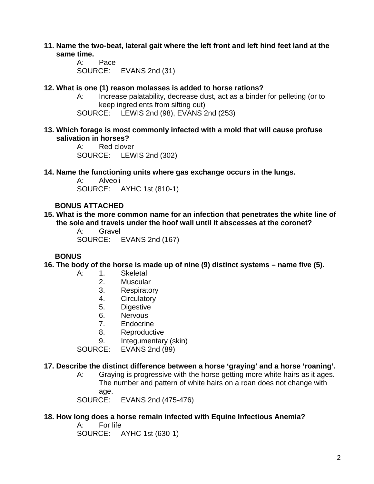- **11. Name the two-beat, lateral gait where the left front and left hind feet land at the same time.**
	- A: Pace SOURCE: EVANS 2nd (31)

### **12. What is one (1) reason molasses is added to horse rations?**

- A: Increase palatability, decrease dust, act as a binder for pelleting (or to keep ingredients from sifting out)
- SOURCE: LEWIS 2nd (98), EVANS 2nd (253)
- **13. Which forage is most commonly infected with a mold that will cause profuse salivation in horses?**

A: Red clover SOURCE: LEWIS 2nd (302)

**14. Name the functioning units where gas exchange occurs in the lungs.**

A: Alveoli SOURCE: AYHC 1st (810-1)

## **BONUS ATTACHED**

**15. What is the more common name for an infection that penetrates the white line of the sole and travels under the hoof wall until it abscesses at the coronet?**

> A: Gravel SOURCE: EVANS 2nd (167)

## **BONUS**

**16. The body of the horse is made up of nine (9) distinct systems – name five (5).**

- A: 1. Skeletal
	- 2. Muscular
	- 3. Respiratory
	- 4. Circulatory
	- 5. Digestive
	- 6. Nervous
	- 7. Endocrine
	- 8. Reproductive
	- 9. Integumentary (skin)

SOURCE: EVANS 2nd (89)

#### **17. Describe the distinct difference between a horse 'graying' and a horse 'roaning'.**

A: Graying is progressive with the horse getting more white hairs as it ages. The number and pattern of white hairs on a roan does not change with age.

SOURCE: EVANS 2nd (475-476)

## **18. How long does a horse remain infected with Equine Infectious Anemia?**

A: For life SOURCE: AYHC 1st (630-1)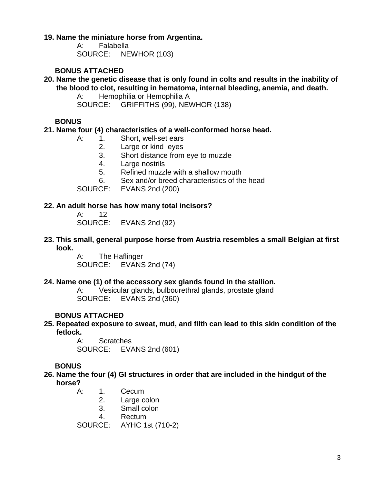### **19. Name the miniature horse from Argentina.**

A: Falabella SOURCE: NEWHOR (103)

## **BONUS ATTACHED**

#### **20. Name the genetic disease that is only found in colts and results in the inability of the blood to clot, resulting in hematoma, internal bleeding, anemia, and death.**

A: Hemophilia or Hemophilia A SOURCE: GRIFFITHS (99), NEWHOR (138)

## **BONUS**

## **21. Name four (4) characteristics of a well-conformed horse head.**

- A: 1. Short, well-set ears
	- 2. Large or kind eyes
	- 3. Short distance from eye to muzzle
	- 4. Large nostrils
	- 5. Refined muzzle with a shallow mouth
	- 6. Sex and/or breed characteristics of the head

SOURCE: EVANS 2nd (200)

#### **22. An adult horse has how many total incisors?**

A: 12 SOURCE: EVANS 2nd (92)

#### **23. This small, general purpose horse from Austria resembles a small Belgian at first look.**

A: The Haflinger SOURCE: EVANS 2nd (74)

## **24. Name one (1) of the accessory sex glands found in the stallion.**

A: Vesicular glands, bulbourethral glands, prostate gland SOURCE: EVANS 2nd (360)

## **BONUS ATTACHED**

## **25. Repeated exposure to sweat, mud, and filth can lead to this skin condition of the fetlock.**

A: Scratches<br>SOURCE: EVA EVANS 2nd (601)

## **BONUS**

- **26. Name the four (4) GI structures in order that are included in the hindgut of the horse?**
	- A: 1. Cecum
		- 2. Large colon
		- 3. Small colon
		- 4. Rectum

SOURCE: AYHC 1st (710-2)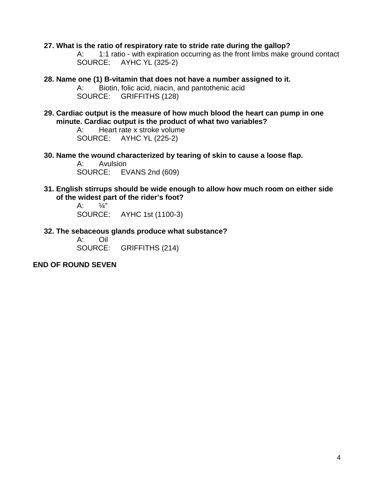#### **27. What is the ratio of respiratory rate to stride rate during the gallop?**

A: 1:1 ratio - with expiration occurring as the front limbs make ground contact SOURCE: AYHC YL (325-2)

- **28. Name one (1) B-vitamin that does not have a number assigned to it.** A: Biotin, folic acid, niacin, and pantothenic acid SOURCE: GRIFFITHS (128)
- **29. Cardiac output is the measure of how much blood the heart can pump in one minute. Cardiac output is the product of what two variables?**

A: Heart rate x stroke volume SOURCE: AYHC YL (225-2)

**30. Name the wound characterized by tearing of skin to cause a loose flap.**

A: Avulsion SOURCE: EVANS 2nd (609)

**31. English stirrups should be wide enough to allow how much room on either side of the widest part of the rider's foot?**

> A:  $\frac{1}{4}$ " SOURCE: AYHC 1st (1100-3)

**32. The sebaceous glands produce what substance?**

**Oil** SOURCE: GRIFFITHS (214)

#### **END OF ROUND SEVEN**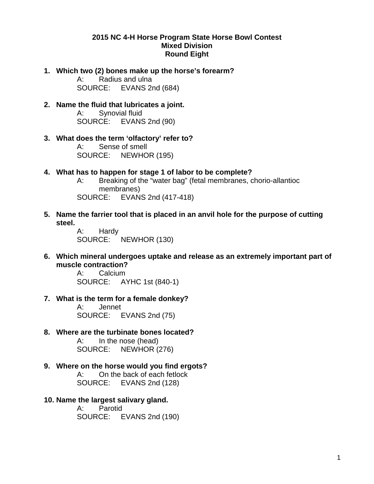#### **2015 NC 4-H Horse Program State Horse Bowl Contest Mixed Division Round Eight**

**1. Which two (2) bones make up the horse's forearm?**

A: Radius and ulna SOURCE: EVANS 2nd (684)

- **2. Name the fluid that lubricates a joint.** A: Synovial fluid SOURCE: EVANS 2nd (90)
- **3. What does the term 'olfactory' refer to?** A: Sense of smell SOURCE: NEWHOR (195)
- **4. What has to happen for stage 1 of labor to be complete?**
	- A: Breaking of the "water bag" (fetal membranes, chorio-allantioc membranes) SOURCE: EVANS 2nd (417-418)
- **5. Name the farrier tool that is placed in an anvil hole for the purpose of cutting steel.**

A: Hardy SOURCE: NEWHOR (130)

**6. Which mineral undergoes uptake and release as an extremely important part of muscle contraction?**

A: Calcium SOURCE: AYHC 1st (840-1)

**7. What is the term for a female donkey?**

A: Jennet SOURCE: EVANS 2nd (75)

**8. Where are the turbinate bones located?**

A: In the nose (head) SOURCE: NEWHOR (276)

- **9. Where on the horse would you find ergots?** A: On the back of each fetlock SOURCE: EVANS 2nd (128)
- **10. Name the largest salivary gland.**

A: Parotid SOURCE: EVANS 2nd (190)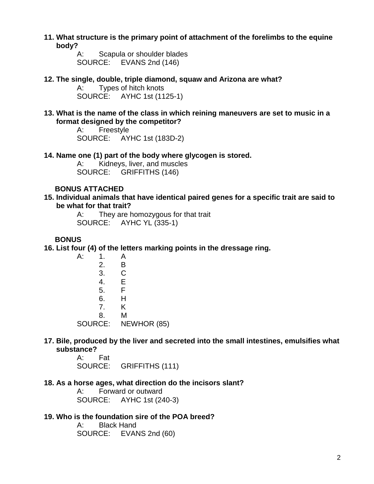**11. What structure is the primary point of attachment of the forelimbs to the equine body?**

> A: Scapula or shoulder blades SOURCE: EVANS 2nd (146)

**12. The single, double, triple diamond, squaw and Arizona are what?**

A: Types of hitch knots SOURCE: AYHC 1st (1125-1)

**13. What is the name of the class in which reining maneuvers are set to music in a format designed by the competitor?**

> A: Freestyle SOURCE: AYHC 1st (183D-2)

**14. Name one (1) part of the body where glycogen is stored.**

A: Kidneys, liver, and muscles SOURCE: GRIFFITHS (146)

### **BONUS ATTACHED**

**15. Individual animals that have identical paired genes for a specific trait are said to be what for that trait?**

> A: They are homozygous for that trait SOURCE: AYHC YL (335-1)

## **BONUS**

**16. List four (4) of the letters marking points in the dressage ring.**

A: 1. A 2. B 3. C 4. E<br>5. F  $5<sub>1</sub>$ 6. H 7. K 8. M SOURCE: NEWHOR (85)

## **17. Bile, produced by the liver and secreted into the small intestines, emulsifies what substance?**

A: Fat SOURCE: GRIFFITHS (111)

#### **18. As a horse ages, what direction do the incisors slant?**

A: Forward or outward SOURCE: AYHC 1st (240-3)

#### **19. Who is the foundation sire of the POA breed?**

A: Black Hand SOURCE: EVANS 2nd (60)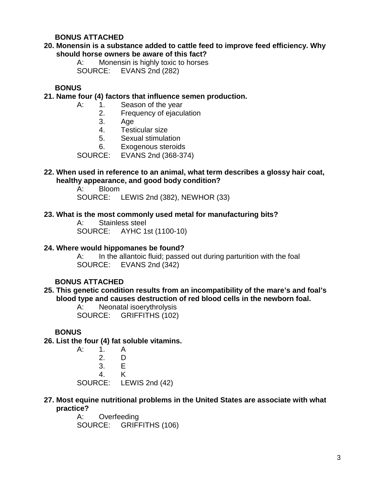## **BONUS ATTACHED**

## **20. Monensin is a substance added to cattle feed to improve feed efficiency. Why should horse owners be aware of this fact?**

A: Monensin is highly toxic to horses SOURCE: EVANS 2nd (282)

#### **BONUS**

#### **21. Name four (4) factors that influence semen production.**

- A: 1. Season of the year
	- 2. Frequency of ejaculation
	- 3. Age
	- 4. Testicular size<br>5. Sexual stimula
	- Sexual stimulation
	- 6. Exogenous steroids

SOURCE: EVANS 2nd (368-374)

### **22. When used in reference to an animal, what term describes a glossy hair coat, healthy appearance, and good body condition?**

A: Bloom SOURCE: LEWIS 2nd (382), NEWHOR (33)

#### **23. What is the most commonly used metal for manufacturing bits?**

A: Stainless steel SOURCE: AYHC 1st (1100-10)

#### **24. Where would hippomanes be found?**

A: In the allantoic fluid; passed out during parturition with the foal SOURCE: EVANS 2nd (342)

## **BONUS ATTACHED**

#### **25. This genetic condition results from an incompatibility of the mare's and foal's blood type and causes destruction of red blood cells in the newborn foal.**

A: Neonatal isoerythrolysis SOURCE: GRIFFITHS (102)

## **BONUS**

**26. List the four (4) fat soluble vitamins.**

| А:      |                       |                |
|---------|-----------------------|----------------|
|         | $\mathcal{P}_{\cdot}$ | D              |
|         | 3.                    | E.             |
|         | 4                     | ĸ              |
| SOURCE: |                       | LEWIS 2nd (42) |

#### **27. Most equine nutritional problems in the United States are associate with what practice?**

A: Overfeeding SOURCE: GRIFFITHS (106)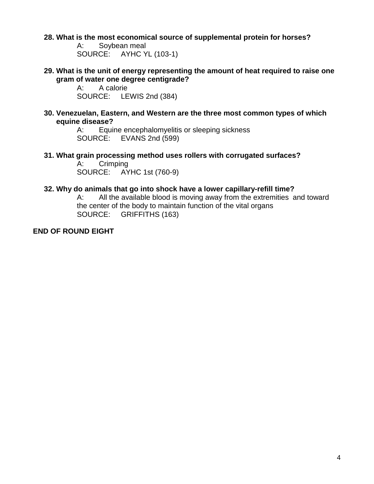#### **28. What is the most economical source of supplemental protein for horses?**

A: Soybean meal SOURCE: AYHC YL (103-1)

**29. What is the unit of energy representing the amount of heat required to raise one gram of water one degree centigrade?**<br>A: A calorie

A calorie SOURCE: LEWIS 2nd (384)

#### **30. Venezuelan, Eastern, and Western are the three most common types of which equine disease?**

A: Equine encephalomyelitis or sleeping sickness SOURCE: EVANS 2nd (599)

**31. What grain processing method uses rollers with corrugated surfaces?**

A: Crimping<br>SOURCE: AY AYHC 1st (760-9)

#### **32. Why do animals that go into shock have a lower capillary-refill time?**

A: All the available blood is moving away from the extremities and toward the center of the body to maintain function of the vital organs SOURCE: GRIFFITHS (163)

**END OF ROUND EIGHT**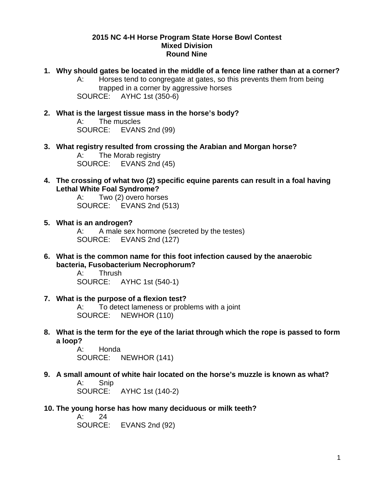#### **2015 NC 4-H Horse Program State Horse Bowl Contest Mixed Division Round Nine**

**1. Why should gates be located in the middle of a fence line rather than at a corner?** A: Horses tend to congregate at gates, so this prevents them from being trapped in a corner by aggressive horses

SOURCE: AYHC 1st (350-6)

- **2. What is the largest tissue mass in the horse's body?** A: The muscles SOURCE: EVANS 2nd (99)
- **3. What registry resulted from crossing the Arabian and Morgan horse?** A: The Morab registry SOURCE: EVANS 2nd (45)
- **4. The crossing of what two (2) specific equine parents can result in a foal having Lethal White Foal Syndrome?**

A: Two (2) overo horses SOURCE: EVANS 2nd (513)

- **5. What is an androgen?** A: A male sex hormone (secreted by the testes) SOURCE: EVANS 2nd (127)
- **6. What is the common name for this foot infection caused by the anaerobic bacteria, Fusobacterium Necrophorum?**

A: Thrush SOURCE: AYHC 1st (540-1)

**7. What is the purpose of a flexion test?**

A: To detect lameness or problems with a joint SOURCE: NEWHOR (110)

**8. What is the term for the eye of the lariat through which the rope is passed to form a loop?**

> A: Honda SOURCE: NEWHOR (141)

**9. A small amount of white hair located on the horse's muzzle is known as what?**  A: Snip

SOURCE: AYHC 1st (140-2)

**10. The young horse has how many deciduous or milk teeth?**

A: 24 SOURCE: EVANS 2nd (92)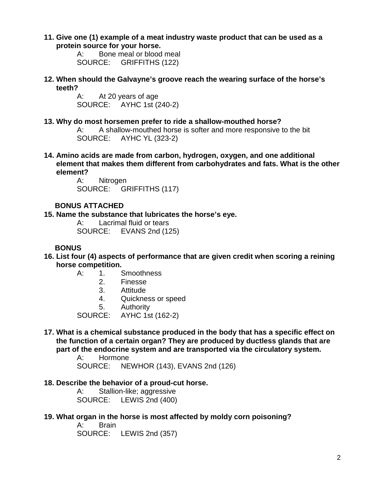**11. Give one (1) example of a meat industry waste product that can be used as a protein source for your horse.**

> A: Bone meal or blood meal SOURCE: GRIFFITHS (122)

**12. When should the Galvayne's groove reach the wearing surface of the horse's teeth?**

> A: At 20 years of age<br>SOURCE: AYHC 1st (2 AYHC 1st (240-2)

**13. Why do most horsemen prefer to ride a shallow-mouthed horse?**

A: A shallow-mouthed horse is softer and more responsive to the bit SOURCE: AYHC YL (323-2)

**14. Amino acids are made from carbon, hydrogen, oxygen, and one additional element that makes them different from carbohydrates and fats. What is the other element?**

> A: Nitrogen SOURCE: GRIFFITHS (117)

## **BONUS ATTACHED**

**15. Name the substance that lubricates the horse's eye.**

A: Lacrimal fluid or tears SOURCE: EVANS 2nd (125)

## **BONUS**

- **16. List four (4) aspects of performance that are given credit when scoring a reining horse competition.**
	- A: 1. Smoothness
		- 2. Finesse
		- 3. Attitude
		- 4. Quickness or speed
		- 5. Authority

SOURCE: AYHC 1st (162-2)

**17. What is a chemical substance produced in the body that has a specific effect on the function of a certain organ? They are produced by ductless glands that are part of the endocrine system and are transported via the circulatory system.**

> A: Hormone SOURCE: NEWHOR (143), EVANS 2nd (126)

## **18. Describe the behavior of a proud-cut horse.**

A: Stallion-like; aggressive SOURCE: LEWIS 2nd (400)

**19. What organ in the horse is most affected by moldy corn poisoning?**

A: Brain SOURCE: LEWIS 2nd (357)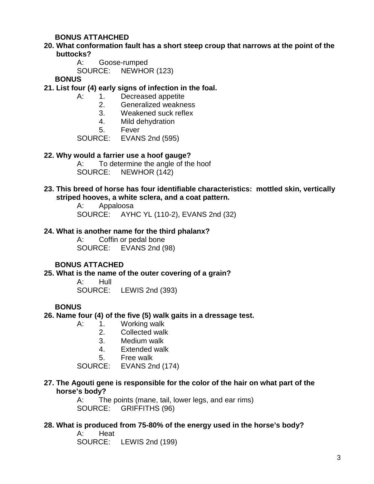## **BONUS ATTAHCHED**

## **20. What conformation fault has a short steep croup that narrows at the point of the buttocks?**

A: Goose-rumped

SOURCE: NEWHOR (123)

**BONUS**

- **21. List four (4) early signs of infection in the foal.**
	- A: 1. Decreased appetite
		- 2. Generalized weakness
		- 3. Weakened suck reflex
		- 4. Mild dehydration
		-

5. Fever<br>SOURCE: EVAN EVANS 2nd (595)

#### **22. Why would a farrier use a hoof gauge?**

A: To determine the angle of the hoof SOURCE: NEWHOR (142)

### **23. This breed of horse has four identifiable characteristics: mottled skin, vertically striped hooves, a white sclera, and a coat pattern.**

A: Appaloosa SOURCE: AYHC YL (110-2), EVANS 2nd (32)

#### **24. What is another name for the third phalanx?**

A: Coffin or pedal bone SOURCE: EVANS 2nd (98)

## **BONUS ATTACHED**

#### **25. What is the name of the outer covering of a grain?**

A: Hull SOURCE: LEWIS 2nd (393)

## **BONUS**

**26. Name four (4) of the five (5) walk gaits in a dressage test.**

- A: 1. Working walk
	- 2. Collected walk
	- 3. Medium walk
	- 4. Extended walk
	- 5. Free walk

SOURCE: EVANS 2nd (174)

#### **27. The Agouti gene is responsible for the color of the hair on what part of the horse's body?**

A: The points (mane, tail, lower legs, and ear rims) SOURCE: GRIFFITHS (96)

#### **28. What is produced from 75-80% of the energy used in the horse's body?**

A: Heat SOURCE: LEWIS 2nd (199)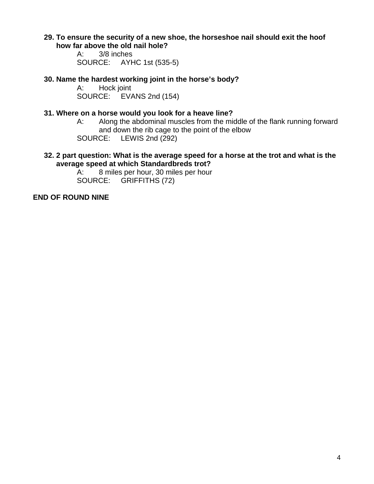#### **29. To ensure the security of a new shoe, the horseshoe nail should exit the hoof how far above the old nail hole?**

A: 3/8 inches SOURCE: AYHC 1st (535-5)

# **30. Name the hardest working joint in the horse's body?**

Hock joint SOURCE: EVANS 2nd (154)

### **31. Where on a horse would you look for a heave line?**

A: Along the abdominal muscles from the middle of the flank running forward and down the rib cage to the point of the elbow<br>SOURCE: LEWIS 2nd (292) LEWIS 2nd (292)

#### **32. 2 part question: What is the average speed for a horse at the trot and what is the average speed at which Standardbreds trot?**

A: 8 miles per hour, 30 miles per hour SOURCE: GRIFFITHS (72)

## **END OF ROUND NINE**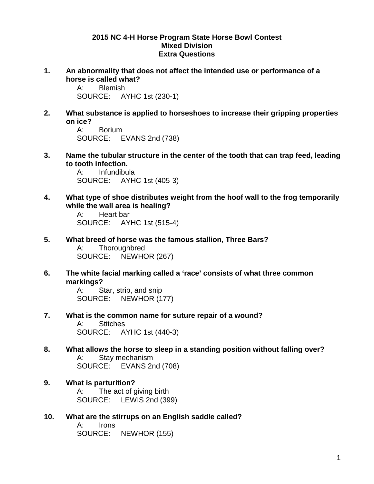#### **2015 NC 4-H Horse Program State Horse Bowl Contest Mixed Division Extra Questions**

**1. An abnormality that does not affect the intended use or performance of a horse is called what?**<br>A: Blemish

Blemish SOURCE: AYHC 1st (230-1)

**2. What substance is applied to horseshoes to increase their gripping properties on ice?**

A: Borium SOURCE: EVANS 2nd (738)

**3. Name the tubular structure in the center of the tooth that can trap feed, leading to tooth infection.**<br>A: Infundibu

Infundibula SOURCE: AYHC 1st (405-3)

**4. What type of shoe distributes weight from the hoof wall to the frog temporarily while the wall area is healing?**

A: Heart bar SOURCE: AYHC 1st (515-4)

- **5. What breed of horse was the famous stallion, Three Bars?** A: Thoroughbred SOURCE: NEWHOR (267)
- **6. The white facial marking called a 'race' consists of what three common markings?**

A: Star, strip, and snip SOURCE: NEWHOR (177)

- **7. What is the common name for suture repair of a wound?** A: Stitches SOURCE: AYHC 1st (440-3)
- **8. What allows the horse to sleep in a standing position without falling over?** A: Stay mechanism SOURCE: EVANS 2nd (708)
- **9. What is parturition?** A: The act of giving birth SOURCE: LEWIS 2nd (399)
- **10. What are the stirrups on an English saddle called?**

A: Irons SOURCE: NEWHOR (155)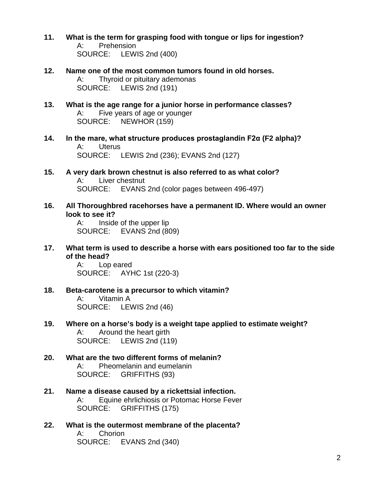- **11. What is the term for grasping food with tongue or lips for ingestion?** A: Prehension SOURCE: LEWIS 2nd (400)
- **12. Name one of the most common tumors found in old horses.** A: Thyroid or pituitary ademonas SOURCE: LEWIS 2nd (191)
- **13. What is the age range for a junior horse in performance classes?** A: Five years of age or younger SOURCE: NEWHOR (159)
- **14. In the mare, what structure produces prostaglandin F2α (F2 alpha)?** A: Uterus SOURCE: LEWIS 2nd (236); EVANS 2nd (127)
- **15. A very dark brown chestnut is also referred to as what color?** A: Liver chestnut SOURCE: EVANS 2nd (color pages between 496-497)
- **16. All Thoroughbred racehorses have a permanent ID. Where would an owner look to see it?**

A: Inside of the upper lip SOURCE: EVANS 2nd (809)

**17. What term is used to describe a horse with ears positioned too far to the side of the head?**

> A: Lop eared SOURCE: AYHC 1st (220-3)

- **18. Beta-carotene is a precursor to which vitamin?**  A: Vitamin A SOURCE: LEWIS 2nd (46)
- **19. Where on a horse's body is a weight tape applied to estimate weight?** A: Around the heart girth SOURCE: LEWIS 2nd (119)
- **20. What are the two different forms of melanin?** A: Pheomelanin and eumelanin SOURCE: GRIFFITHS (93)
- **21. Name a disease caused by a rickettsial infection.** A: Equine ehrlichiosis or Potomac Horse Fever SOURCE: GRIFFITHS (175)
- **22. What is the outermost membrane of the placenta?** A: Chorion SOURCE: EVANS 2nd (340)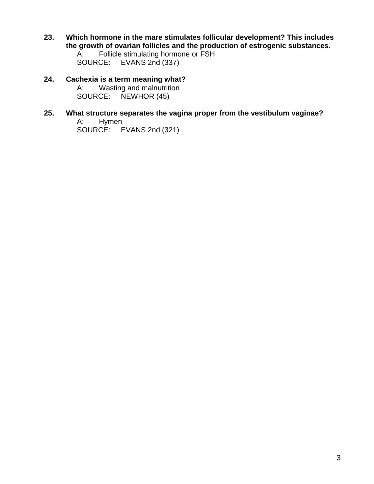**23. Which hormone in the mare stimulates follicular development? This includes the growth of ovarian follicles and the production of estrogenic substances.**<br>A: Follicle stimulating hormone or FSH

A: Follicle stimulating hormone or FSH<br>SOURCE: EVANS 2nd (337) EVANS 2nd (337)

- **24. Cachexia is a term meaning what?** A: Wasting and malnutrition<br>SOURCE: NEWHOR (45) NEWHOR (45)
- **25. What structure separates the vagina proper from the vestibulum vaginae?** A: Hymen SOURCE: EVANS 2nd (321)